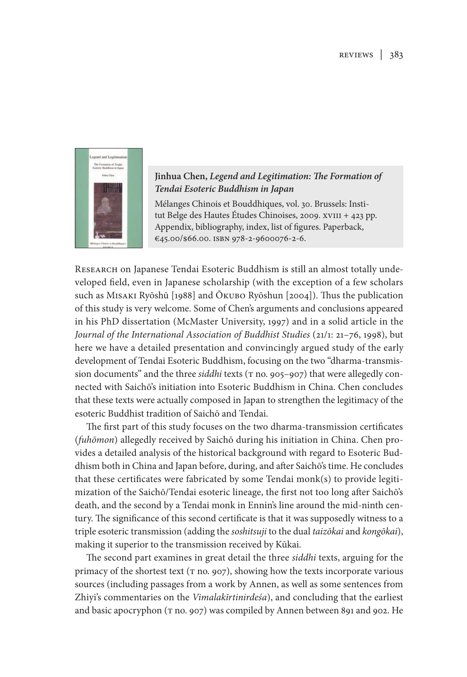

## **Jinhua Chen,** *Legend and Legitimation: The Formation of Tendai Esoteric Buddhism in Japan*

Mélanges Chinois et Bouddhiques, vol. 30. Brussels: Institut Belge des Hautes Études Chinoises, 2009. xvIII + 423 pp. Appendix, bibliography, index, list of figures. Paperback, €45.00/\$66.00. isbn 978-2-9600076-2-6.

RESEARCH on Japanese Tendai Esoteric Buddhism is still an almost totally undeveloped field, even in Japanese scholarship (with the exception of a few scholars such as Misaki Ryōshū [1988] and Ōkubo Ryōshun [2004]). Thus the publication of this study is very welcome. Some of Chen's arguments and conclusions appeared in his PhD dissertation (McMaster University, 1997) and in a solid article in the *Journal of the International Association of Buddhist Studies* (21/1: 21–76, 1998), but here we have a detailed presentation and convincingly argued study of the early development of Tendai Esoteric Buddhism, focusing on the two "dharma-transmission documents" and the three *siddhi* texts (T no. 905–907) that were allegedly connected with Saichō's initiation into Esoteric Buddhism in China. Chen concludes that these texts were actually composed in Japan to strengthen the legitimacy of the esoteric Buddhist tradition of Saichō and Tendai.

The first part of this study focuses on the two dharma-transmission certificates (*fuhōmon*) allegedly received by Saichō during his initiation in China. Chen provides a detailed analysis of the historical background with regard to Esoteric Buddhism both in China and Japan before, during, and after Saichō's time. He concludes that these certificates were fabricated by some Tendai monk(s) to provide legitimization of the Saichō/Tendai esoteric lineage, the first not too long after Saichō's death, and the second by a Tendai monk in Ennin's line around the mid-ninth century. The significance of this second certificate is that it was supposedly witness to a triple esoteric transmission (adding the *soshitsuji* to the dual *taizōkai* and *kongōkai*), making it superior to the transmission received by Kūkai.

The second part examines in great detail the three *siddhi* texts, arguing for the primacy of the shortest text ( $\pi$  no. 907), showing how the texts incorporate various sources (including passages from a work by Annen, as well as some sentences from Zhiyi's commentaries on the *Vimalakīrtinirdeśa*), and concluding that the earliest and basic apocryphon (T no. 907) was compiled by Annen between 891 and 902. He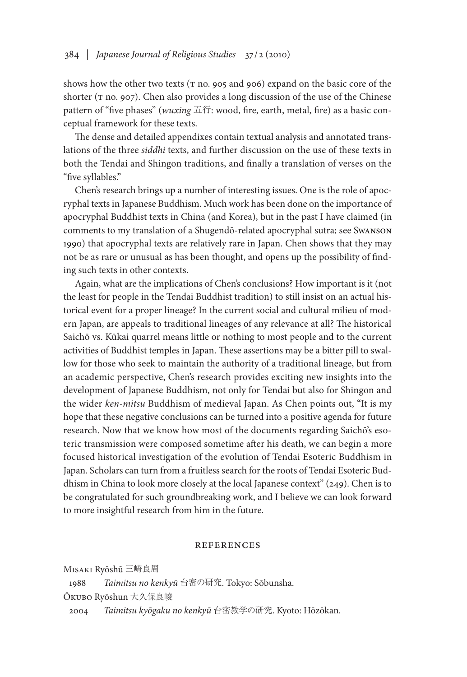shows how the other two texts ( $T$  no. 905 and 906) expand on the basic core of the shorter ( $\tau$  no. 907). Chen also provides a long discussion of the use of the Chinese pattern of "five phases" (*wuxing* 五行: wood, fire, earth, metal, fire) as a basic conceptual framework for these texts.

The dense and detailed appendixes contain textual analysis and annotated translations of the three *siddhi* texts, and further discussion on the use of these texts in both the Tendai and Shingon traditions, and finally a translation of verses on the "five syllables."

Chen's research brings up a number of interesting issues. One is the role of apocryphal texts in Japanese Buddhism. Much work has been done on the importance of apocryphal Buddhist texts in China (and Korea), but in the past I have claimed (in comments to my translation of a Shugendō-related apocryphal sutra; see Swanson 1990) that apocryphal texts are relatively rare in Japan. Chen shows that they may not be as rare or unusual as has been thought, and opens up the possibility of finding such texts in other contexts.

Again, what are the implications of Chen's conclusions? How important is it (not the least for people in the Tendai Buddhist tradition) to still insist on an actual historical event for a proper lineage? In the current social and cultural milieu of modern Japan, are appeals to traditional lineages of any relevance at all? The historical Saichō vs. Kūkai quarrel means little or nothing to most people and to the current activities of Buddhist temples in Japan. These assertions may be a bitter pill to swallow for those who seek to maintain the authority of a traditional lineage, but from an academic perspective, Chen's research provides exciting new insights into the development of Japanese Buddhism, not only for Tendai but also for Shingon and the wider *ken-mitsu* Buddhism of medieval Japan. As Chen points out, "It is my hope that these negative conclusions can be turned into a positive agenda for future research. Now that we know how most of the documents regarding Saichō's esoteric transmission were composed sometime after his death, we can begin a more focused historical investigation of the evolution of Tendai Esoteric Buddhism in Japan. Scholars can turn from a fruitless search for the roots of Tendai Esoteric Buddhism in China to look more closely at the local Japanese context" (249). Chen is to be congratulated for such groundbreaking work, and I believe we can look forward to more insightful research from him in the future.

## **REFERENCES**

Misaki Ryōshū 三崎良周

1988 *Taimitsu no kenkyū* 台密の研究. Tokyo: Sōbunsha.

Ōkubo Ryōshun 大久保良峻

2004 *Taimitsu kyōgaku no kenkyū* 台密教学の研究. Kyoto: Hōzōkan.